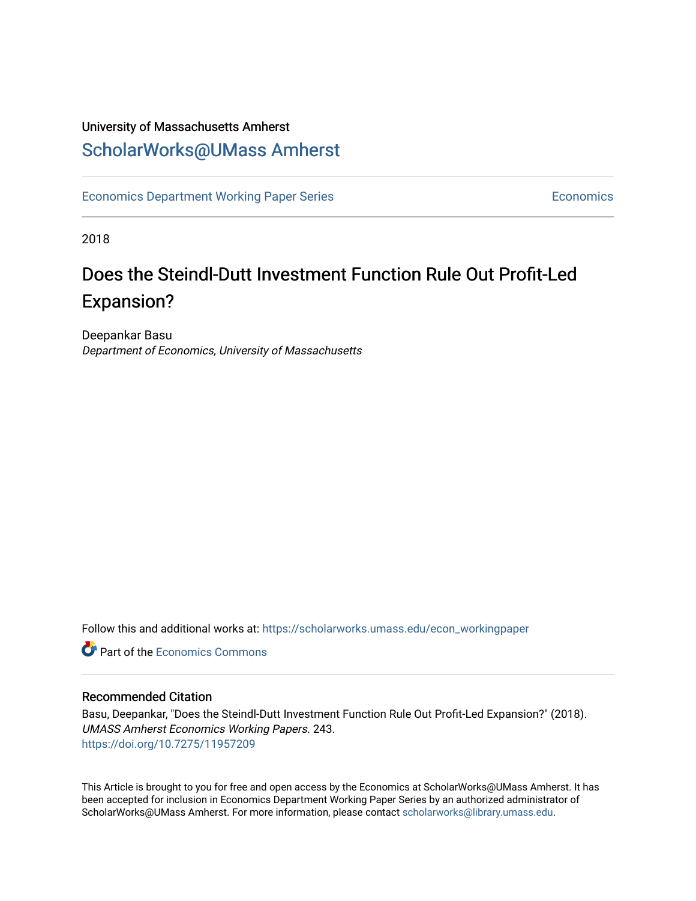# University of Massachusetts Amherst [ScholarWorks@UMass Amherst](https://scholarworks.umass.edu/)

[Economics Department Working Paper Series](https://scholarworks.umass.edu/econ_workingpaper) **Economics** Economics

2018

# Does the Steindl-Dutt Investment Function Rule Out Profit-Led Expansion?

Deepankar Basu Department of Economics, University of Massachusetts

Follow this and additional works at: [https://scholarworks.umass.edu/econ\\_workingpaper](https://scholarworks.umass.edu/econ_workingpaper?utm_source=scholarworks.umass.edu%2Fecon_workingpaper%2F243&utm_medium=PDF&utm_campaign=PDFCoverPages) 

**C** Part of the [Economics Commons](http://network.bepress.com/hgg/discipline/340?utm_source=scholarworks.umass.edu%2Fecon_workingpaper%2F243&utm_medium=PDF&utm_campaign=PDFCoverPages)

#### Recommended Citation

Basu, Deepankar, "Does the Steindl-Dutt Investment Function Rule Out Profit-Led Expansion?" (2018). UMASS Amherst Economics Working Papers. 243. <https://doi.org/10.7275/11957209>

This Article is brought to you for free and open access by the Economics at ScholarWorks@UMass Amherst. It has been accepted for inclusion in Economics Department Working Paper Series by an authorized administrator of ScholarWorks@UMass Amherst. For more information, please contact [scholarworks@library.umass.edu.](mailto:scholarworks@library.umass.edu)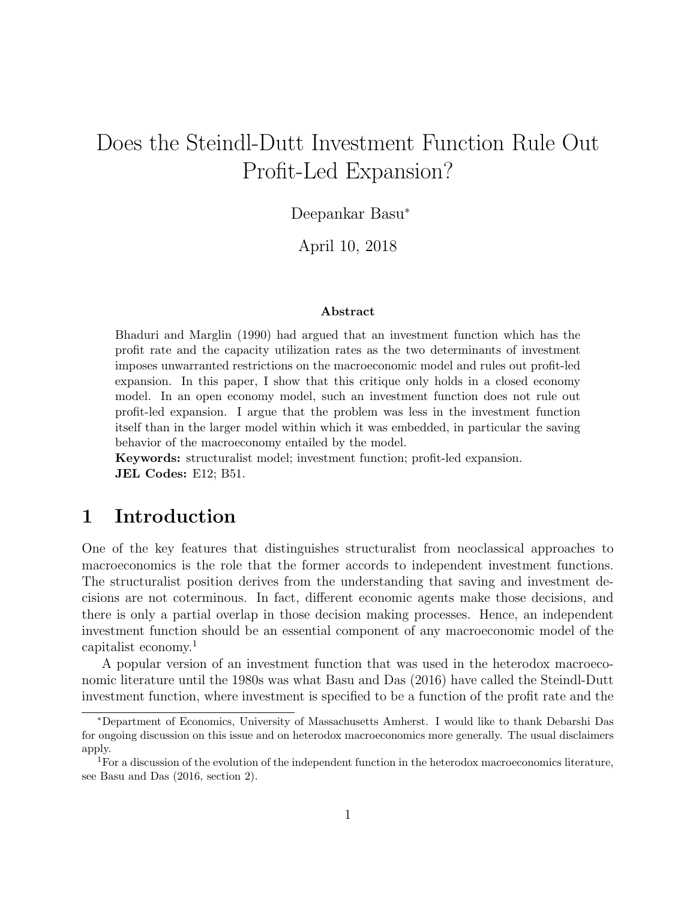# Does the Steindl-Dutt Investment Function Rule Out Profit-Led Expansion?

Deepankar Basu<sup>∗</sup>

April 10, 2018

#### Abstract

Bhaduri and Marglin (1990) had argued that an investment function which has the profit rate and the capacity utilization rates as the two determinants of investment imposes unwarranted restrictions on the macroeconomic model and rules out profit-led expansion. In this paper, I show that this critique only holds in a closed economy model. In an open economy model, such an investment function does not rule out profit-led expansion. I argue that the problem was less in the investment function itself than in the larger model within which it was embedded, in particular the saving behavior of the macroeconomy entailed by the model.

Keywords: structuralist model; investment function; profit-led expansion. JEL Codes: E12; B51.

## 1 Introduction

One of the key features that distinguishes structuralist from neoclassical approaches to macroeconomics is the role that the former accords to independent investment functions. The structuralist position derives from the understanding that saving and investment decisions are not coterminous. In fact, different economic agents make those decisions, and there is only a partial overlap in those decision making processes. Hence, an independent investment function should be an essential component of any macroeconomic model of the capitalist economy.<sup>1</sup>

A popular version of an investment function that was used in the heterodox macroeconomic literature until the 1980s was what Basu and Das (2016) have called the Steindl-Dutt investment function, where investment is specified to be a function of the profit rate and the

<sup>∗</sup>Department of Economics, University of Massachusetts Amherst. I would like to thank Debarshi Das for ongoing discussion on this issue and on heterodox macroeconomics more generally. The usual disclaimers apply.

<sup>&</sup>lt;sup>1</sup>For a discussion of the evolution of the independent function in the heterodox macroeconomics literature, see Basu and Das (2016, section 2).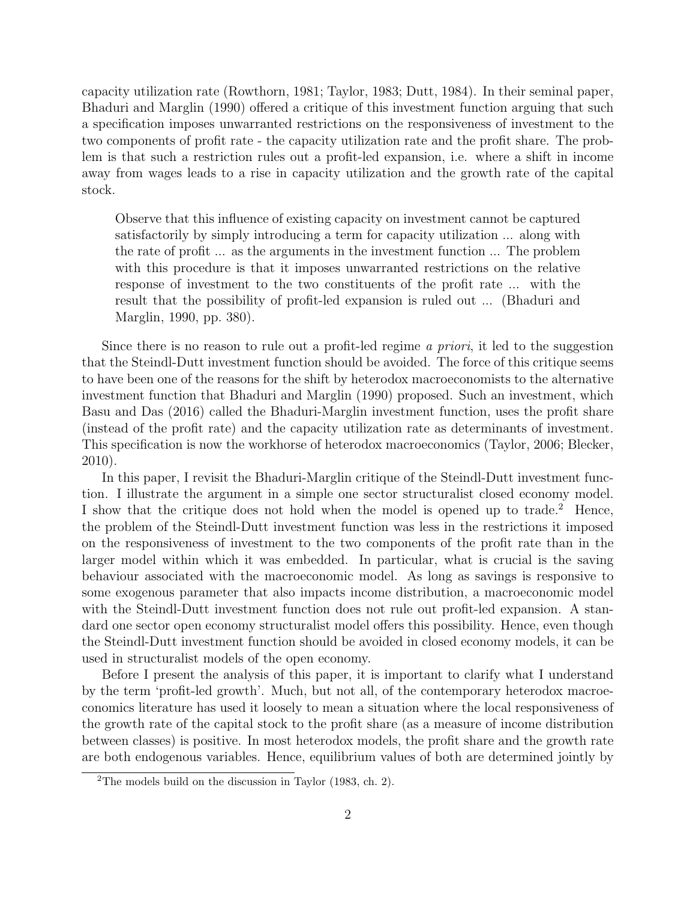capacity utilization rate (Rowthorn, 1981; Taylor, 1983; Dutt, 1984). In their seminal paper, Bhaduri and Marglin (1990) offered a critique of this investment function arguing that such a specification imposes unwarranted restrictions on the responsiveness of investment to the two components of profit rate - the capacity utilization rate and the profit share. The problem is that such a restriction rules out a profit-led expansion, i.e. where a shift in income away from wages leads to a rise in capacity utilization and the growth rate of the capital stock.

Observe that this influence of existing capacity on investment cannot be captured satisfactorily by simply introducing a term for capacity utilization ... along with the rate of profit ... as the arguments in the investment function ... The problem with this procedure is that it imposes unwarranted restrictions on the relative response of investment to the two constituents of the profit rate ... with the result that the possibility of profit-led expansion is ruled out ... (Bhaduri and Marglin, 1990, pp. 380).

Since there is no reason to rule out a profit-led regime *a priori*, it led to the suggestion that the Steindl-Dutt investment function should be avoided. The force of this critique seems to have been one of the reasons for the shift by heterodox macroeconomists to the alternative investment function that Bhaduri and Marglin (1990) proposed. Such an investment, which Basu and Das (2016) called the Bhaduri-Marglin investment function, uses the profit share (instead of the profit rate) and the capacity utilization rate as determinants of investment. This specification is now the workhorse of heterodox macroeconomics (Taylor, 2006; Blecker, 2010).

In this paper, I revisit the Bhaduri-Marglin critique of the Steindl-Dutt investment function. I illustrate the argument in a simple one sector structuralist closed economy model. I show that the critique does not hold when the model is opened up to trade.<sup>2</sup> Hence, the problem of the Steindl-Dutt investment function was less in the restrictions it imposed on the responsiveness of investment to the two components of the profit rate than in the larger model within which it was embedded. In particular, what is crucial is the saving behaviour associated with the macroeconomic model. As long as savings is responsive to some exogenous parameter that also impacts income distribution, a macroeconomic model with the Steindl-Dutt investment function does not rule out profit-led expansion. A standard one sector open economy structuralist model offers this possibility. Hence, even though the Steindl-Dutt investment function should be avoided in closed economy models, it can be used in structuralist models of the open economy.

Before I present the analysis of this paper, it is important to clarify what I understand by the term 'profit-led growth'. Much, but not all, of the contemporary heterodox macroeconomics literature has used it loosely to mean a situation where the local responsiveness of the growth rate of the capital stock to the profit share (as a measure of income distribution between classes) is positive. In most heterodox models, the profit share and the growth rate are both endogenous variables. Hence, equilibrium values of both are determined jointly by

<sup>2</sup>The models build on the discussion in Taylor (1983, ch. 2).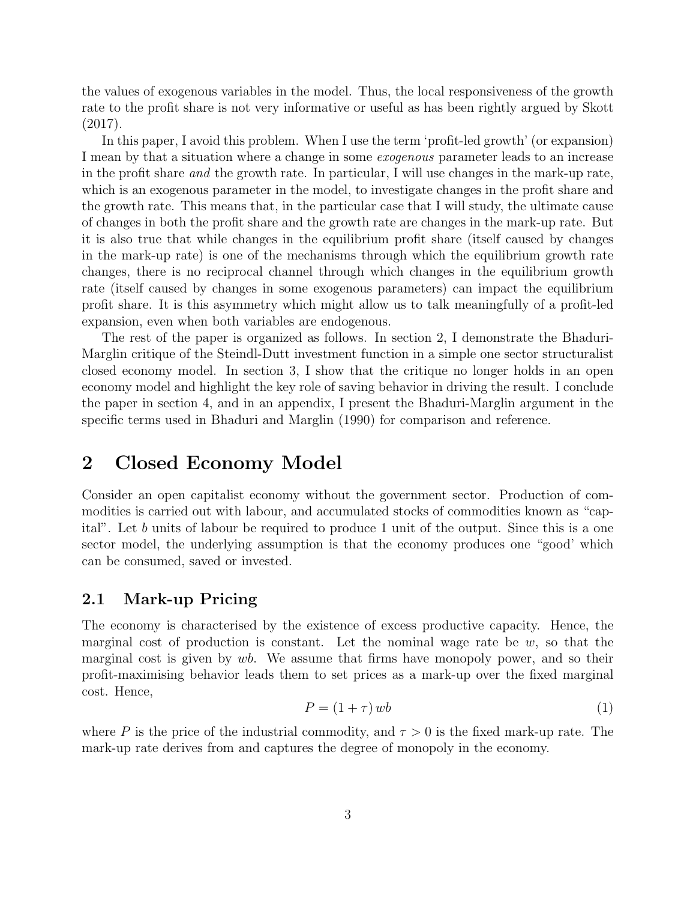the values of exogenous variables in the model. Thus, the local responsiveness of the growth rate to the profit share is not very informative or useful as has been rightly argued by Skott (2017).

In this paper, I avoid this problem. When I use the term 'profit-led growth' (or expansion) I mean by that a situation where a change in some exogenous parameter leads to an increase in the profit share and the growth rate. In particular, I will use changes in the mark-up rate, which is an exogenous parameter in the model, to investigate changes in the profit share and the growth rate. This means that, in the particular case that I will study, the ultimate cause of changes in both the profit share and the growth rate are changes in the mark-up rate. But it is also true that while changes in the equilibrium profit share (itself caused by changes in the mark-up rate) is one of the mechanisms through which the equilibrium growth rate changes, there is no reciprocal channel through which changes in the equilibrium growth rate (itself caused by changes in some exogenous parameters) can impact the equilibrium profit share. It is this asymmetry which might allow us to talk meaningfully of a profit-led expansion, even when both variables are endogenous.

The rest of the paper is organized as follows. In section 2, I demonstrate the Bhaduri-Marglin critique of the Steindl-Dutt investment function in a simple one sector structuralist closed economy model. In section 3, I show that the critique no longer holds in an open economy model and highlight the key role of saving behavior in driving the result. I conclude the paper in section 4, and in an appendix, I present the Bhaduri-Marglin argument in the specific terms used in Bhaduri and Marglin (1990) for comparison and reference.

## 2 Closed Economy Model

Consider an open capitalist economy without the government sector. Production of commodities is carried out with labour, and accumulated stocks of commodities known as "capital". Let b units of labour be required to produce 1 unit of the output. Since this is a one sector model, the underlying assumption is that the economy produces one "good' which can be consumed, saved or invested.

### 2.1 Mark-up Pricing

The economy is characterised by the existence of excess productive capacity. Hence, the marginal cost of production is constant. Let the nominal wage rate be  $w$ , so that the marginal cost is given by  $wb$ . We assume that firms have monopoly power, and so their profit-maximising behavior leads them to set prices as a mark-up over the fixed marginal cost. Hence,

$$
P = (1 + \tau) \, wb \tag{1}
$$

where P is the price of the industrial commodity, and  $\tau > 0$  is the fixed mark-up rate. The mark-up rate derives from and captures the degree of monopoly in the economy.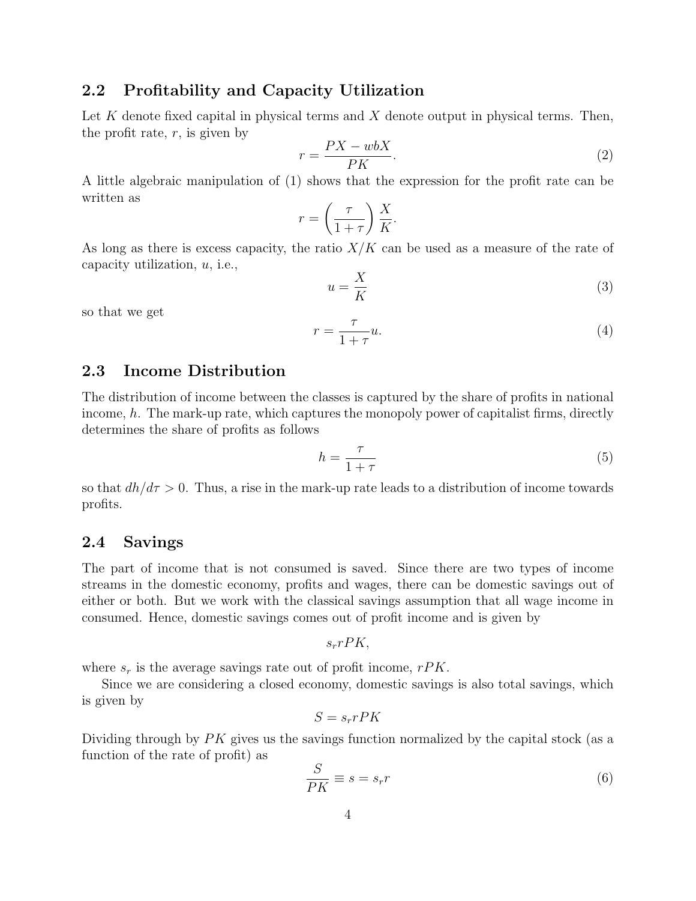### 2.2 Profitability and Capacity Utilization

Let K denote fixed capital in physical terms and X denote output in physical terms. Then, the profit rate,  $r$ , is given by

$$
r = \frac{PX - wbX}{PK}.\tag{2}
$$

A little algebraic manipulation of (1) shows that the expression for the profit rate can be written as

$$
r = \left(\frac{\tau}{1+\tau}\right)\frac{X}{K}.
$$

As long as there is excess capacity, the ratio  $X/K$  can be used as a measure of the rate of capacity utilization,  $u$ , i.e.,

$$
u = \frac{X}{K} \tag{3}
$$

so that we get

$$
r = \frac{\tau}{1 + \tau} u. \tag{4}
$$

## 2.3 Income Distribution

The distribution of income between the classes is captured by the share of profits in national income,  $h$ . The mark-up rate, which captures the monopoly power of capitalist firms, directly determines the share of profits as follows

$$
h = \frac{\tau}{1 + \tau} \tag{5}
$$

so that  $dh/d\tau > 0$ . Thus, a rise in the mark-up rate leads to a distribution of income towards profits.

#### 2.4 Savings

The part of income that is not consumed is saved. Since there are two types of income streams in the domestic economy, profits and wages, there can be domestic savings out of either or both. But we work with the classical savings assumption that all wage income in consumed. Hence, domestic savings comes out of profit income and is given by

$$
s_r r P K,
$$

where  $s_r$  is the average savings rate out of profit income,  $rPK$ .

Since we are considering a closed economy, domestic savings is also total savings, which is given by

$$
S = s_r r P K
$$

Dividing through by  $PK$  gives us the savings function normalized by the capital stock (as a function of the rate of profit) as

$$
\frac{S}{PK} \equiv s = s_r r \tag{6}
$$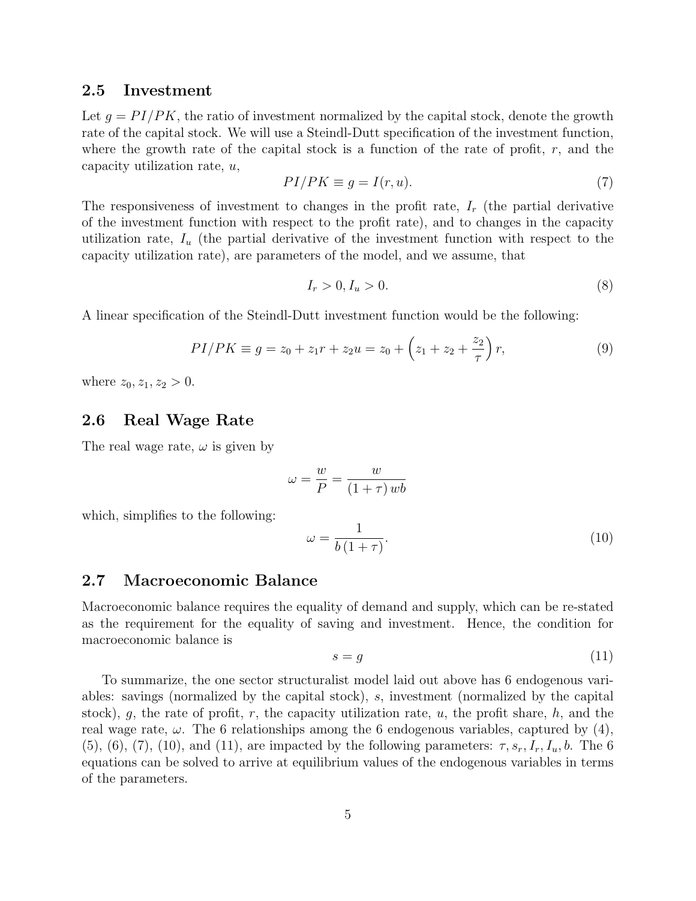#### 2.5 Investment

Let  $q = PI/PK$ , the ratio of investment normalized by the capital stock, denote the growth rate of the capital stock. We will use a Steindl-Dutt specification of the investment function, where the growth rate of the capital stock is a function of the rate of profit,  $r$ , and the capacity utilization rate, u,

$$
PI/PK \equiv g = I(r, u). \tag{7}
$$

The responsiveness of investment to changes in the profit rate,  $I_r$  (the partial derivative of the investment function with respect to the profit rate), and to changes in the capacity utilization rate,  $I_u$  (the partial derivative of the investment function with respect to the capacity utilization rate), are parameters of the model, and we assume, that

$$
I_r > 0, I_u > 0. \tag{8}
$$

A linear specification of the Steindl-Dutt investment function would be the following:

$$
PI/PK \equiv g = z_0 + z_1 r + z_2 u = z_0 + \left(z_1 + z_2 + \frac{z_2}{\tau}\right) r,\tag{9}
$$

where  $z_0, z_1, z_2 > 0$ .

#### 2.6 Real Wage Rate

The real wage rate,  $\omega$  is given by

$$
\omega = \frac{w}{P} = \frac{w}{(1+\tau) \, wb}
$$

which, simplifies to the following:

$$
\omega = \frac{1}{b(1+\tau)}.\tag{10}
$$

#### 2.7 Macroeconomic Balance

Macroeconomic balance requires the equality of demand and supply, which can be re-stated as the requirement for the equality of saving and investment. Hence, the condition for macroeconomic balance is

$$
s = g \tag{11}
$$

To summarize, the one sector structuralist model laid out above has 6 endogenous variables: savings (normalized by the capital stock), s, investment (normalized by the capital stock), g, the rate of profit, r, the capacity utilization rate, u, the profit share, h, and the real wage rate,  $\omega$ . The 6 relationships among the 6 endogenous variables, captured by (4), (5), (6), (7), (10), and (11), are impacted by the following parameters:  $\tau$ ,  $s_r$ ,  $I_r$ ,  $I_u$ ,  $b$ . The 6 equations can be solved to arrive at equilibrium values of the endogenous variables in terms of the parameters.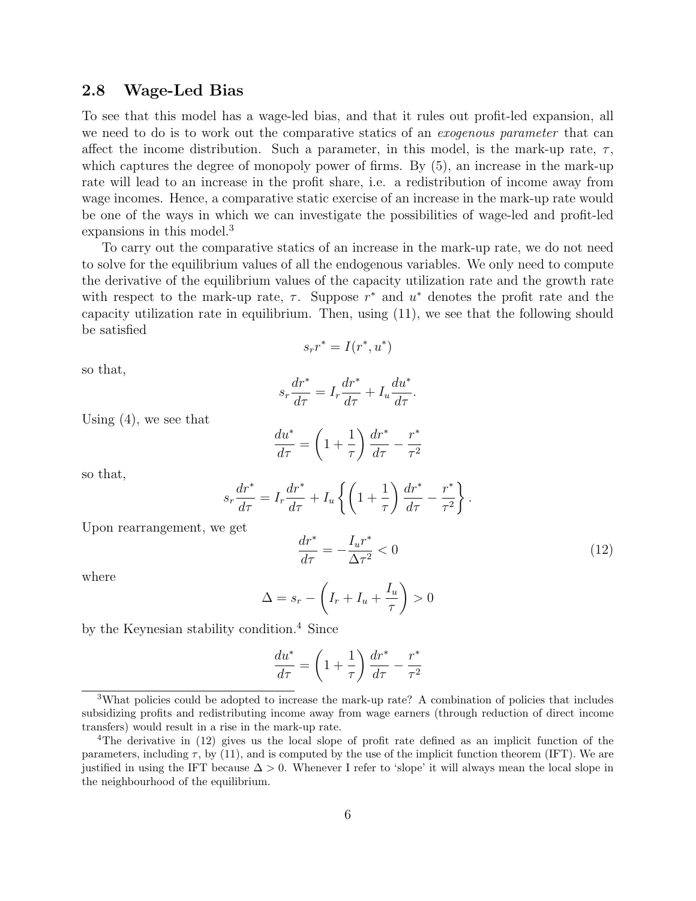#### 2.8 Wage-Led Bias

To see that this model has a wage-led bias, and that it rules out profit-led expansion, all we need to do is to work out the comparative statics of an *exogenous parameter* that can affect the income distribution. Such a parameter, in this model, is the mark-up rate,  $\tau$ , which captures the degree of monopoly power of firms. By  $(5)$ , an increase in the mark-up rate will lead to an increase in the profit share, i.e. a redistribution of income away from wage incomes. Hence, a comparative static exercise of an increase in the mark-up rate would be one of the ways in which we can investigate the possibilities of wage-led and profit-led expansions in this model.<sup>3</sup>

To carry out the comparative statics of an increase in the mark-up rate, we do not need to solve for the equilibrium values of all the endogenous variables. We only need to compute the derivative of the equilibrium values of the capacity utilization rate and the growth rate with respect to the mark-up rate,  $\tau$ . Suppose  $r^*$  and  $u^*$  denotes the profit rate and the capacity utilization rate in equilibrium. Then, using (11), we see that the following should be satisfied

$$
s_r r^* = I(r^*, u^*)
$$

so that,

$$
s_r \frac{dr^*}{d\tau} = I_r \frac{dr^*}{d\tau} + I_u \frac{du^*}{d\tau}.
$$

Using (4), we see that

$$
\frac{du^*}{d\tau} = \left(1 + \frac{1}{\tau}\right)\frac{dr^*}{d\tau} - \frac{r^*}{\tau^2}
$$

so that,

$$
s_r \frac{dr^*}{d\tau} = I_r \frac{dr^*}{d\tau} + I_u \left\{ \left( 1 + \frac{1}{\tau} \right) \frac{dr^*}{d\tau} - \frac{r^*}{\tau^2} \right\}.
$$

Upon rearrangement, we get

$$
\frac{dr^*}{d\tau} = -\frac{I_u r^*}{\Delta \tau^2} < 0\tag{12}
$$

where

$$
\Delta = s_r - \left(I_r + I_u + \frac{I_u}{\tau}\right) > 0
$$

by the Keynesian stability condition.<sup>4</sup> Since

$$
\frac{du^*}{d\tau} = \left(1 + \frac{1}{\tau}\right)\frac{dr^*}{d\tau} - \frac{r^*}{\tau^2}
$$

<sup>&</sup>lt;sup>3</sup>What policies could be adopted to increase the mark-up rate? A combination of policies that includes subsidizing profits and redistributing income away from wage earners (through reduction of direct income transfers) would result in a rise in the mark-up rate.

<sup>4</sup>The derivative in (12) gives us the local slope of profit rate defined as an implicit function of the parameters, including  $\tau$ , by (11), and is computed by the use of the implicit function theorem (IFT). We are justified in using the IFT because  $\Delta > 0$ . Whenever I refer to 'slope' it will always mean the local slope in the neighbourhood of the equilibrium.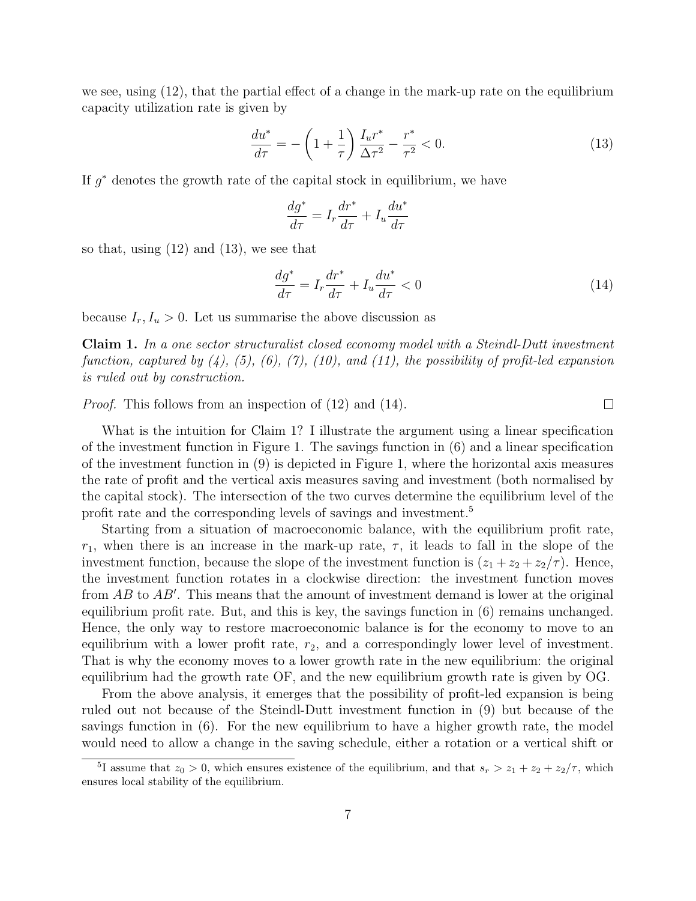we see, using (12), that the partial effect of a change in the mark-up rate on the equilibrium capacity utilization rate is given by

$$
\frac{du^*}{d\tau} = -\left(1 + \frac{1}{\tau}\right) \frac{I_u r^*}{\Delta \tau^2} - \frac{r^*}{\tau^2} < 0. \tag{13}
$$

If  $g^*$  denotes the growth rate of the capital stock in equilibrium, we have

$$
\frac{dg^*}{d\tau} = I_r \frac{dr^*}{d\tau} + I_u \frac{du^*}{d\tau}
$$

so that, using (12) and (13), we see that

$$
\frac{dg^*}{d\tau} = I_r \frac{dr^*}{d\tau} + I_u \frac{du^*}{d\tau} < 0 \tag{14}
$$

 $\Box$ 

because  $I_r, I_u > 0$ . Let us summarise the above discussion as

Claim 1. In a one sector structuralist closed economy model with a Steindl-Dutt investment function, captured by  $(4)$ ,  $(5)$ ,  $(6)$ ,  $(7)$ ,  $(10)$ , and  $(11)$ , the possibility of profit-led expansion is ruled out by construction.

*Proof.* This follows from an inspection of  $(12)$  and  $(14)$ .

What is the intuition for Claim 1? I illustrate the argument using a linear specification of the investment function in Figure 1. The savings function in (6) and a linear specification of the investment function in (9) is depicted in Figure 1, where the horizontal axis measures the rate of profit and the vertical axis measures saving and investment (both normalised by the capital stock). The intersection of the two curves determine the equilibrium level of the profit rate and the corresponding levels of savings and investment.<sup>5</sup>

Starting from a situation of macroeconomic balance, with the equilibrium profit rate,  $r_1$ , when there is an increase in the mark-up rate,  $\tau$ , it leads to fall in the slope of the investment function, because the slope of the investment function is  $(z_1 + z_2 + z_2/\tau)$ . Hence, the investment function rotates in a clockwise direction: the investment function moves from  $AB$  to  $AB'$ . This means that the amount of investment demand is lower at the original equilibrium profit rate. But, and this is key, the savings function in (6) remains unchanged. Hence, the only way to restore macroeconomic balance is for the economy to move to an equilibrium with a lower profit rate,  $r_2$ , and a correspondingly lower level of investment. That is why the economy moves to a lower growth rate in the new equilibrium: the original equilibrium had the growth rate OF, and the new equilibrium growth rate is given by OG.

From the above analysis, it emerges that the possibility of profit-led expansion is being ruled out not because of the Steindl-Dutt investment function in (9) but because of the savings function in (6). For the new equilibrium to have a higher growth rate, the model would need to allow a change in the saving schedule, either a rotation or a vertical shift or

<sup>&</sup>lt;sup>5</sup>I assume that  $z_0 > 0$ , which ensures existence of the equilibrium, and that  $s_r > z_1 + z_2 + z_2/\tau$ , which ensures local stability of the equilibrium.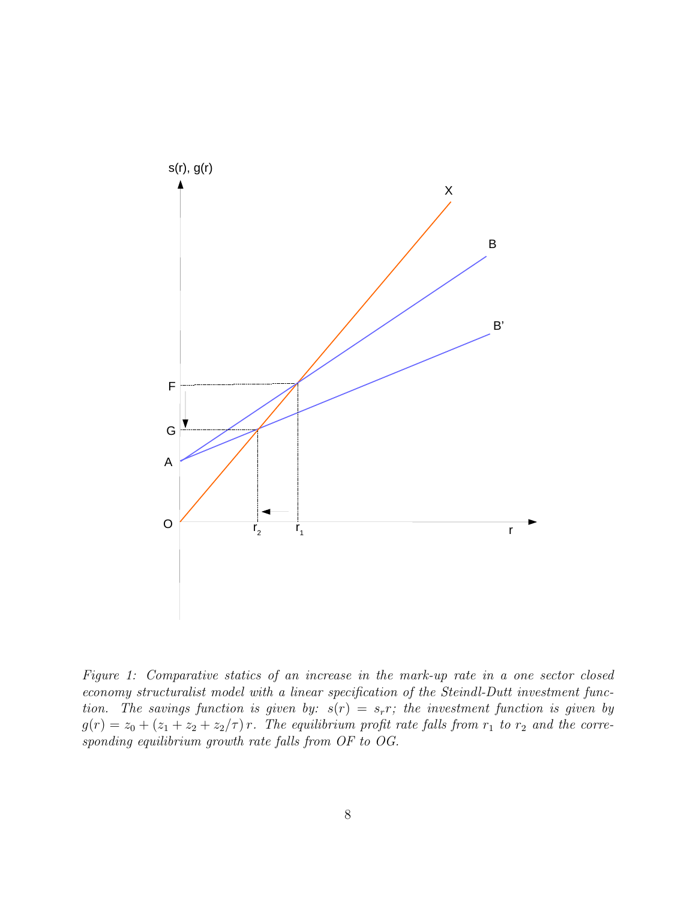

Figure 1: Comparative statics of an increase in the mark-up rate in a one sector closed economy structuralist model with a linear specification of the Steindl-Dutt investment function. The savings function is given by:  $s(r) = s_r r$ ; the investment function is given by  $g(r) = z_0 + (z_1 + z_2 + z_2/\tau) r$ . The equilibrium profit rate falls from  $r_1$  to  $r_2$  and the corresponding equilibrium growth rate falls from OF to OG.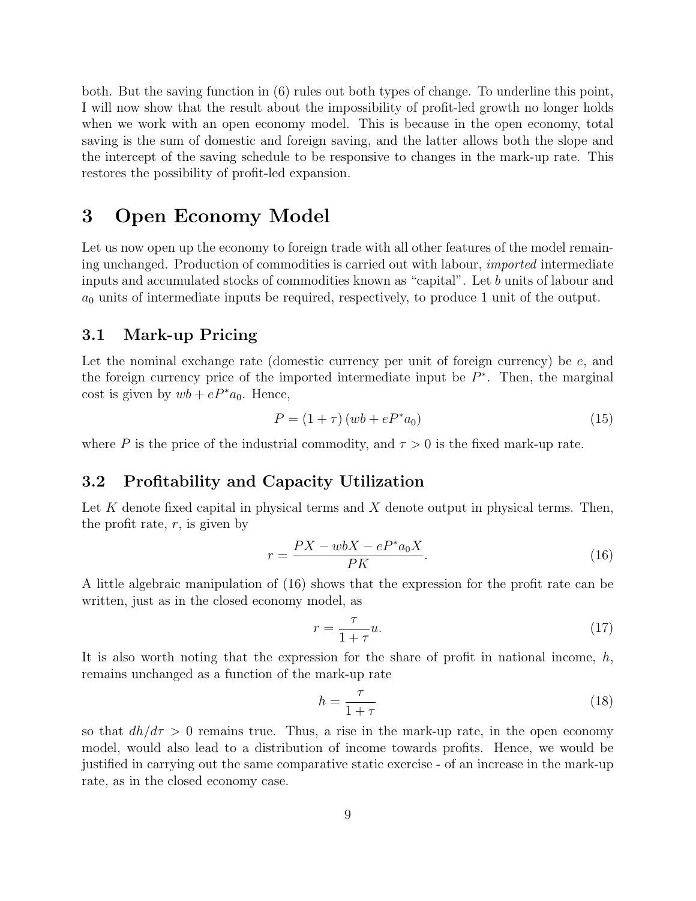both. But the saving function in (6) rules out both types of change. To underline this point, I will now show that the result about the impossibility of profit-led growth no longer holds when we work with an open economy model. This is because in the open economy, total saving is the sum of domestic and foreign saving, and the latter allows both the slope and the intercept of the saving schedule to be responsive to changes in the mark-up rate. This restores the possibility of profit-led expansion.

## 3 Open Economy Model

Let us now open up the economy to foreign trade with all other features of the model remaining unchanged. Production of commodities is carried out with labour, imported intermediate inputs and accumulated stocks of commodities known as "capital". Let b units of labour and  $a_0$  units of intermediate inputs be required, respectively, to produce 1 unit of the output.

#### 3.1 Mark-up Pricing

Let the nominal exchange rate (domestic currency per unit of foreign currency) be  $e$ , and the foreign currency price of the imported intermediate input be  $P^*$ . Then, the marginal cost is given by  $wb + eP^*a_0$ . Hence,

$$
P = (1 + \tau) (wb + eP^*a_0)
$$
\n(15)

where P is the price of the industrial commodity, and  $\tau > 0$  is the fixed mark-up rate.

#### 3.2 Profitability and Capacity Utilization

Let K denote fixed capital in physical terms and X denote output in physical terms. Then, the profit rate,  $r$ , is given by

$$
r = \frac{PX - wbX - eP^*a_0X}{PK}.
$$
\n<sup>(16)</sup>

A little algebraic manipulation of (16) shows that the expression for the profit rate can be written, just as in the closed economy model, as

$$
r = \frac{\tau}{1 + \tau} u. \tag{17}
$$

It is also worth noting that the expression for the share of profit in national income,  $h$ , remains unchanged as a function of the mark-up rate

$$
h = \frac{\tau}{1 + \tau} \tag{18}
$$

so that  $dh/d\tau > 0$  remains true. Thus, a rise in the mark-up rate, in the open economy model, would also lead to a distribution of income towards profits. Hence, we would be justified in carrying out the same comparative static exercise - of an increase in the mark-up rate, as in the closed economy case.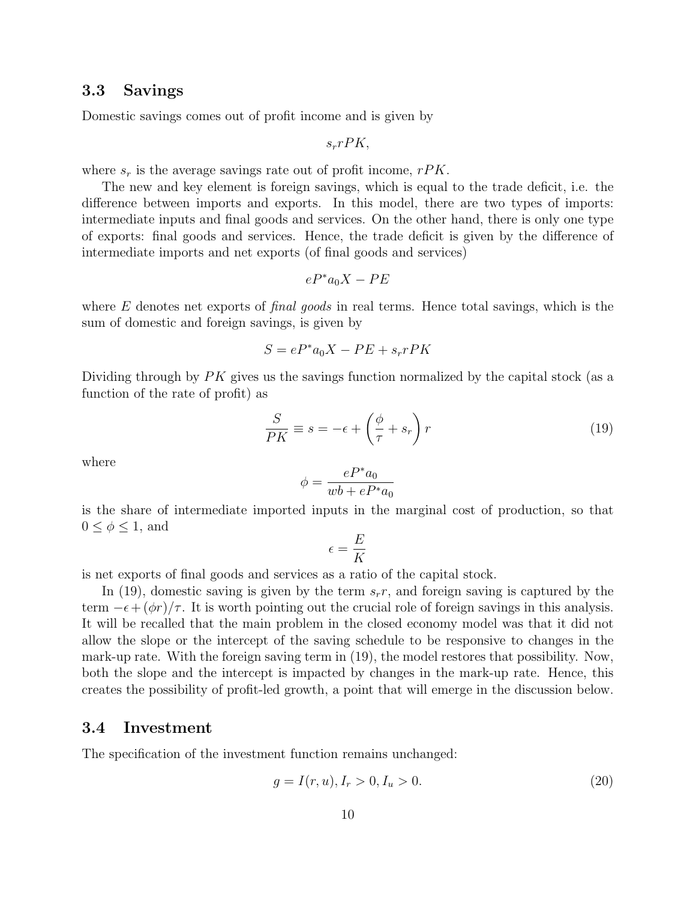### 3.3 Savings

Domestic savings comes out of profit income and is given by

 $s_r r P K$ ,

where  $s_r$  is the average savings rate out of profit income,  $rPK$ .

The new and key element is foreign savings, which is equal to the trade deficit, i.e. the difference between imports and exports. In this model, there are two types of imports: intermediate inputs and final goods and services. On the other hand, there is only one type of exports: final goods and services. Hence, the trade deficit is given by the difference of intermediate imports and net exports (of final goods and services)

$$
eP^*a_0X - PE
$$

where  $E$  denotes net exports of *final goods* in real terms. Hence total savings, which is the sum of domestic and foreign savings, is given by

$$
S = eP^*a_0X - PE + s_r rPK
$$

Dividing through by  $PK$  gives us the savings function normalized by the capital stock (as a function of the rate of profit) as

$$
\frac{S}{PK} \equiv s = -\epsilon + \left(\frac{\phi}{\tau} + s_r\right)r\tag{19}
$$

where

$$
\phi = \frac{eP^*a_0}{wb + eP^*a_0}
$$

is the share of intermediate imported inputs in the marginal cost of production, so that  $0 \leq \phi \leq 1$ , and

$$
\epsilon = \frac{E}{K}
$$

is net exports of final goods and services as a ratio of the capital stock.

In (19), domestic saving is given by the term  $s_r$ , and foreign saving is captured by the term  $-\epsilon + (\phi r)/\tau$ . It is worth pointing out the crucial role of foreign savings in this analysis. It will be recalled that the main problem in the closed economy model was that it did not allow the slope or the intercept of the saving schedule to be responsive to changes in the mark-up rate. With the foreign saving term in (19), the model restores that possibility. Now, both the slope and the intercept is impacted by changes in the mark-up rate. Hence, this creates the possibility of profit-led growth, a point that will emerge in the discussion below.

#### 3.4 Investment

The specification of the investment function remains unchanged:

$$
g = I(r, u), I_r > 0, I_u > 0.
$$
\n<sup>(20)</sup>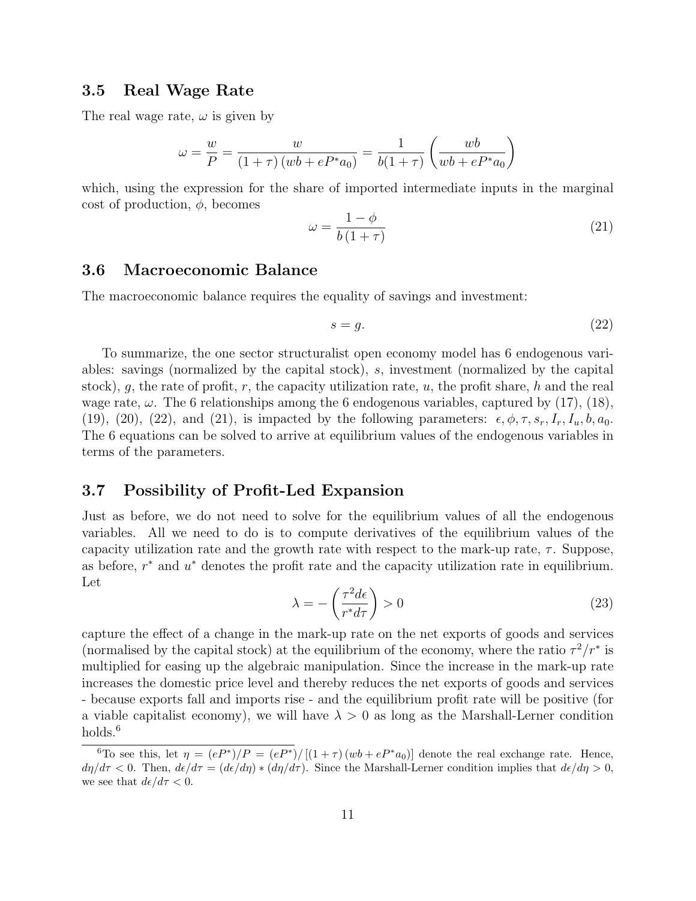#### 3.5 Real Wage Rate

The real wage rate,  $\omega$  is given by

$$
\omega = \frac{w}{P} = \frac{w}{(1+\tau)(wb + eP^*a_0)} = \frac{1}{b(1+\tau)} \left(\frac{wb}{wb + eP^*a_0}\right)
$$

which, using the expression for the share of imported intermediate inputs in the marginal cost of production,  $\phi$ , becomes

$$
\omega = \frac{1 - \phi}{b(1 + \tau)}\tag{21}
$$

### 3.6 Macroeconomic Balance

The macroeconomic balance requires the equality of savings and investment:

$$
s = g.\t\t(22)
$$

To summarize, the one sector structuralist open economy model has 6 endogenous variables: savings (normalized by the capital stock), s, investment (normalized by the capital stock), g, the rate of profit, r, the capacity utilization rate, u, the profit share, h and the real wage rate,  $\omega$ . The 6 relationships among the 6 endogenous variables, captured by (17), (18), (19), (20), (22), and (21), is impacted by the following parameters:  $\epsilon, \phi, \tau, s_r, I_r, I_u, b, a_0$ . The 6 equations can be solved to arrive at equilibrium values of the endogenous variables in terms of the parameters.

### 3.7 Possibility of Profit-Led Expansion

Just as before, we do not need to solve for the equilibrium values of all the endogenous variables. All we need to do is to compute derivatives of the equilibrium values of the capacity utilization rate and the growth rate with respect to the mark-up rate,  $\tau$ . Suppose, as before,  $r^*$  and  $u^*$  denotes the profit rate and the capacity utilization rate in equilibrium. Let

$$
\lambda = -\left(\frac{\tau^2 d\epsilon}{r^* d\tau}\right) > 0\tag{23}
$$

capture the effect of a change in the mark-up rate on the net exports of goods and services (normalised by the capital stock) at the equilibrium of the economy, where the ratio  $\tau^2/r^*$  is multiplied for easing up the algebraic manipulation. Since the increase in the mark-up rate increases the domestic price level and thereby reduces the net exports of goods and services - because exports fall and imports rise - and the equilibrium profit rate will be positive (for a viable capitalist economy), we will have  $\lambda > 0$  as long as the Marshall-Lerner condition holds.<sup>6</sup>

<sup>&</sup>lt;sup>6</sup>To see this, let  $\eta = (eP^*)/P = (eP^*)/[(1+\tau)(wb + eP^*a_0)]$  denote the real exchange rate. Hence,  $d\eta/d\tau < 0$ . Then,  $d\epsilon/d\tau = (d\epsilon/d\eta) * (d\eta/d\tau)$ . Since the Marshall-Lerner condition implies that  $d\epsilon/d\eta > 0$ , we see that  $d\epsilon/d\tau < 0$ .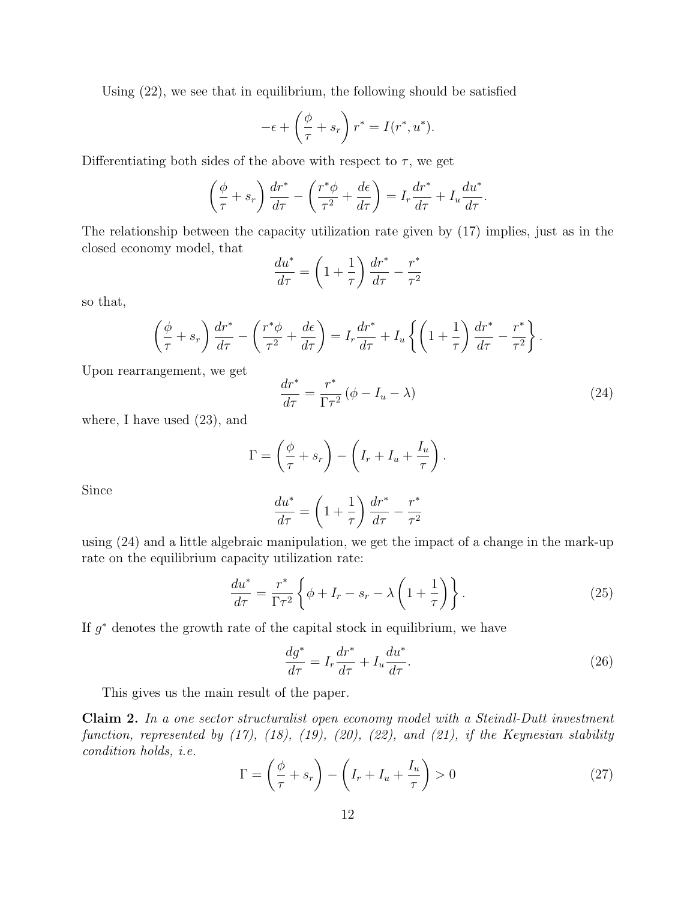Using (22), we see that in equilibrium, the following should be satisfied

$$
-\epsilon + \left(\frac{\phi}{\tau} + s_r\right)r^* = I(r^*, u^*).
$$

Differentiating both sides of the above with respect to  $\tau$ , we get

$$
\left(\frac{\phi}{\tau} + s_r\right) \frac{dr^*}{d\tau} - \left(\frac{r^*\phi}{\tau^2} + \frac{d\epsilon}{d\tau}\right) = I_r \frac{dr^*}{d\tau} + I_u \frac{du^*}{d\tau}.
$$

The relationship between the capacity utilization rate given by (17) implies, just as in the closed economy model, that

$$
\frac{du^*}{d\tau} = \left(1 + \frac{1}{\tau}\right)\frac{dr^*}{d\tau} - \frac{r^*}{\tau^2}
$$

so that,

$$
\left(\frac{\phi}{\tau} + s_r\right) \frac{dr^*}{d\tau} - \left(\frac{r^*\phi}{\tau^2} + \frac{d\epsilon}{d\tau}\right) = I_r \frac{dr^*}{d\tau} + I_u \left\{ \left(1 + \frac{1}{\tau}\right) \frac{dr^*}{d\tau} - \frac{r^*}{\tau^2} \right\}.
$$

Upon rearrangement, we get

$$
\frac{dr^*}{d\tau} = \frac{r^*}{\Gamma \tau^2} \left( \phi - I_u - \lambda \right) \tag{24}
$$

where, I have used (23), and

$$
\Gamma = \left(\frac{\phi}{\tau} + s_r\right) - \left(I_r + I_u + \frac{I_u}{\tau}\right).
$$

Since

$$
\frac{du^*}{d\tau} = \left(1 + \frac{1}{\tau}\right)\frac{dr^*}{d\tau} - \frac{r^*}{\tau^2}
$$

using (24) and a little algebraic manipulation, we get the impact of a change in the mark-up rate on the equilibrium capacity utilization rate:

$$
\frac{du^*}{d\tau} = \frac{r^*}{\Gamma \tau^2} \left\{ \phi + I_r - s_r - \lambda \left( 1 + \frac{1}{\tau} \right) \right\}.
$$
\n(25)

If  $g^*$  denotes the growth rate of the capital stock in equilibrium, we have

$$
\frac{dg^*}{d\tau} = I_r \frac{dr^*}{d\tau} + I_u \frac{du^*}{d\tau}.
$$
\n(26)

This gives us the main result of the paper.

Claim 2. In a one sector structuralist open economy model with a Steindl-Dutt investment function, represented by  $(17)$ ,  $(18)$ ,  $(19)$ ,  $(20)$ ,  $(22)$ , and  $(21)$ , if the Keynesian stability condition holds, i.e.

$$
\Gamma = \left(\frac{\phi}{\tau} + s_r\right) - \left(I_r + I_u + \frac{I_u}{\tau}\right) > 0\tag{27}
$$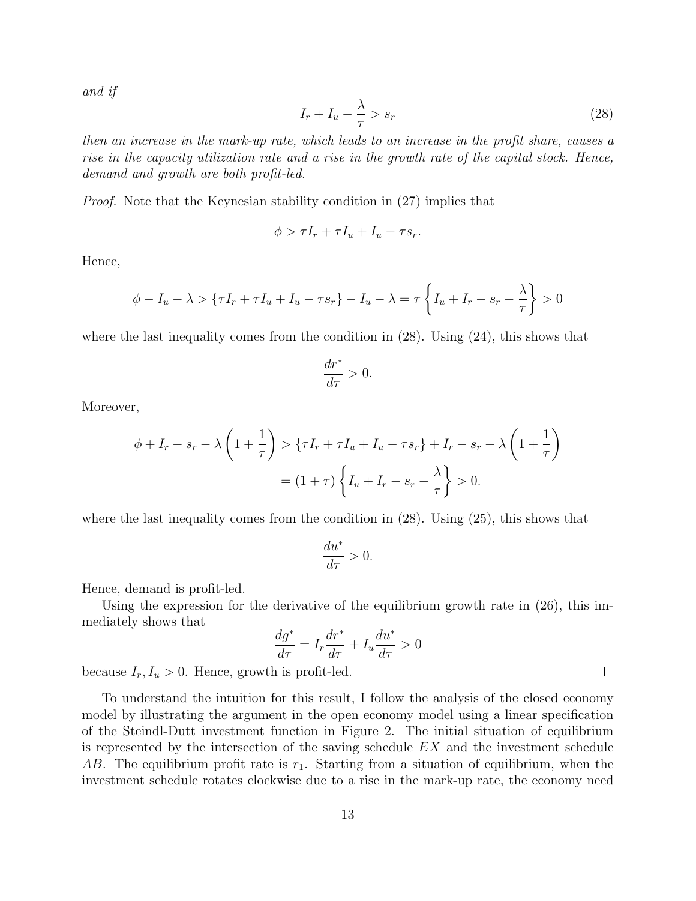and if

$$
I_r + I_u - \frac{\lambda}{\tau} > s_r \tag{28}
$$

then an increase in the mark-up rate, which leads to an increase in the profit share, causes a rise in the capacity utilization rate and a rise in the growth rate of the capital stock. Hence, demand and growth are both profit-led.

Proof. Note that the Keynesian stability condition in (27) implies that

$$
\phi > \tau I_r + \tau I_u + I_u - \tau s_r.
$$

Hence,

$$
\phi - I_u - \lambda > \left\{ \tau I_r + \tau I_u + I_u - \tau s_r \right\} - I_u - \lambda = \tau \left\{ I_u + I_r - s_r - \frac{\lambda}{\tau} \right\} > 0
$$

where the last inequality comes from the condition in  $(28)$ . Using  $(24)$ , this shows that

$$
\frac{dr^*}{d\tau}>0.
$$

Moreover,

$$
\phi + I_r - s_r - \lambda \left( 1 + \frac{1}{\tau} \right) > \left\{ \tau I_r + \tau I_u + I_u - \tau s_r \right\} + I_r - s_r - \lambda \left( 1 + \frac{1}{\tau} \right)
$$

$$
= (1 + \tau) \left\{ I_u + I_r - s_r - \frac{\lambda}{\tau} \right\} > 0.
$$

where the last inequality comes from the condition in  $(28)$ . Using  $(25)$ , this shows that

$$
\frac{du^*}{d\tau}>0.
$$

Hence, demand is profit-led.

Using the expression for the derivative of the equilibrium growth rate in (26), this immediately shows that

$$
\frac{dg^*}{d\tau} = I_r \frac{dr^*}{d\tau} + I_u \frac{du^*}{d\tau} > 0
$$

because  $I_r, I_u > 0$ . Hence, growth is profit-led.

To understand the intuition for this result, I follow the analysis of the closed economy model by illustrating the argument in the open economy model using a linear specification of the Steindl-Dutt investment function in Figure 2. The initial situation of equilibrium is represented by the intersection of the saving schedule  $EX$  and the investment schedule AB. The equilibrium profit rate is  $r_1$ . Starting from a situation of equilibrium, when the investment schedule rotates clockwise due to a rise in the mark-up rate, the economy need

 $\Box$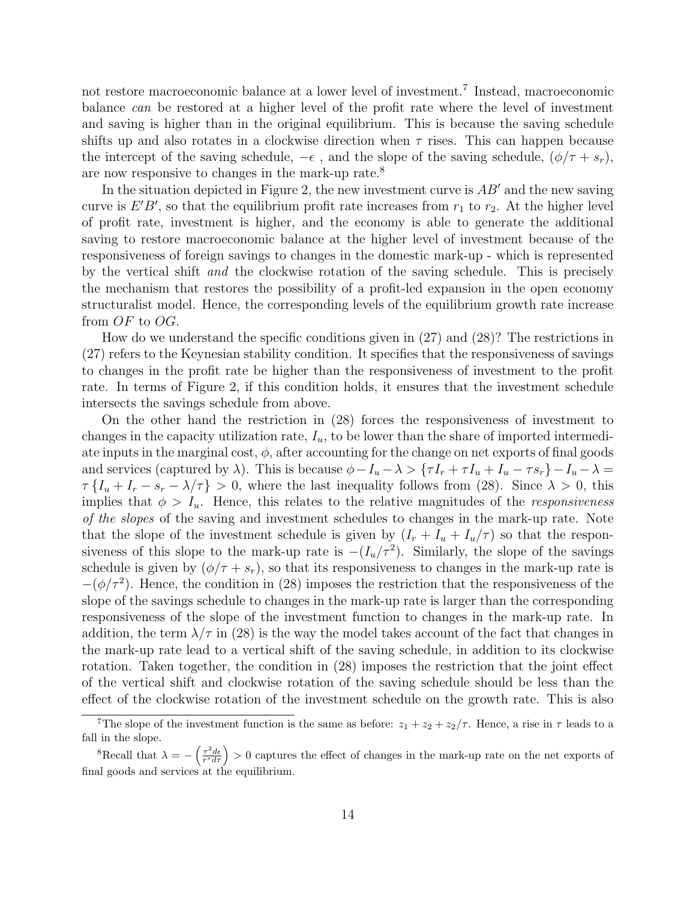not restore macroeconomic balance at a lower level of investment.<sup>7</sup> Instead, macroeconomic balance can be restored at a higher level of the profit rate where the level of investment and saving is higher than in the original equilibrium. This is because the saving schedule shifts up and also rotates in a clockwise direction when  $\tau$  rises. This can happen because the intercept of the saving schedule,  $-\epsilon$ , and the slope of the saving schedule,  $(\phi/\tau + s_r)$ , are now responsive to changes in the mark-up rate.<sup>8</sup>

In the situation depicted in Figure 2, the new investment curve is  $AB'$  and the new saving curve is  $E'B'$ , so that the equilibrium profit rate increases from  $r_1$  to  $r_2$ . At the higher level of profit rate, investment is higher, and the economy is able to generate the additional saving to restore macroeconomic balance at the higher level of investment because of the responsiveness of foreign savings to changes in the domestic mark-up - which is represented by the vertical shift and the clockwise rotation of the saving schedule. This is precisely the mechanism that restores the possibility of a profit-led expansion in the open economy structuralist model. Hence, the corresponding levels of the equilibrium growth rate increase from OF to OG.

How do we understand the specific conditions given in (27) and (28)? The restrictions in (27) refers to the Keynesian stability condition. It specifies that the responsiveness of savings to changes in the profit rate be higher than the responsiveness of investment to the profit rate. In terms of Figure 2, if this condition holds, it ensures that the investment schedule intersects the savings schedule from above.

On the other hand the restriction in (28) forces the responsiveness of investment to changes in the capacity utilization rate,  $I_u$ , to be lower than the share of imported intermediate inputs in the marginal cost,  $\phi$ , after accounting for the change on net exports of final goods and services (captured by  $\lambda$ ). This is because  $\phi - I_u - \lambda > {\tau I_r + \tau I_u + I_u - \tau s_r} - I_u - \lambda =$  $\tau \{I_u + I_r - s_r - \lambda/\tau\} > 0$ , where the last inequality follows from (28). Since  $\lambda > 0$ , this implies that  $\phi > I_u$ . Hence, this relates to the relative magnitudes of the *responsiveness* of the slopes of the saving and investment schedules to changes in the mark-up rate. Note that the slope of the investment schedule is given by  $(I_r + I_u + I_u/\tau)$  so that the responsiveness of this slope to the mark-up rate is  $-(I_u/\tau^2)$ . Similarly, the slope of the savings schedule is given by  $(\phi/\tau + s_r)$ , so that its responsiveness to changes in the mark-up rate is  $-(\phi/\tau^2)$ . Hence, the condition in (28) imposes the restriction that the responsiveness of the slope of the savings schedule to changes in the mark-up rate is larger than the corresponding responsiveness of the slope of the investment function to changes in the mark-up rate. In addition, the term  $\lambda/\tau$  in (28) is the way the model takes account of the fact that changes in the mark-up rate lead to a vertical shift of the saving schedule, in addition to its clockwise rotation. Taken together, the condition in (28) imposes the restriction that the joint effect of the vertical shift and clockwise rotation of the saving schedule should be less than the effect of the clockwise rotation of the investment schedule on the growth rate. This is also

<sup>&</sup>lt;sup>7</sup>The slope of the investment function is the same as before:  $z_1 + z_2 + z_2/\tau$ . Hence, a rise in  $\tau$  leads to a fall in the slope.

<sup>&</sup>lt;sup>8</sup>Recall that  $\lambda = -\left(\frac{\tau^2 d\epsilon}{r^* d\tau}\right) > 0$  captures the effect of changes in the mark-up rate on the net exports of final goods and services at the equilibrium.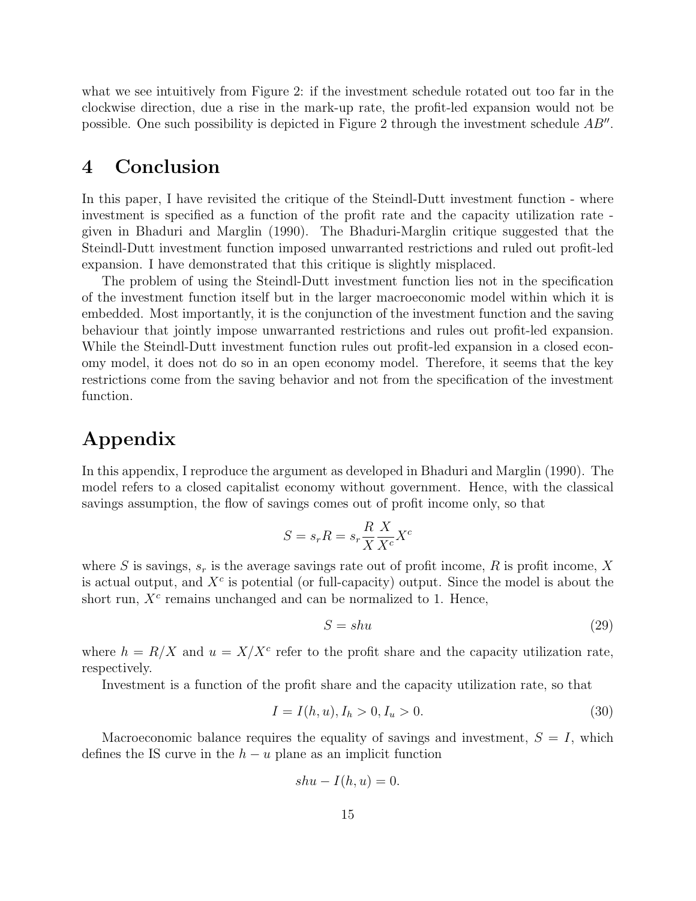what we see intuitively from Figure 2: if the investment schedule rotated out too far in the clockwise direction, due a rise in the mark-up rate, the profit-led expansion would not be possible. One such possibility is depicted in Figure 2 through the investment schedule  $AB''$ .

## 4 Conclusion

In this paper, I have revisited the critique of the Steindl-Dutt investment function - where investment is specified as a function of the profit rate and the capacity utilization rate given in Bhaduri and Marglin (1990). The Bhaduri-Marglin critique suggested that the Steindl-Dutt investment function imposed unwarranted restrictions and ruled out profit-led expansion. I have demonstrated that this critique is slightly misplaced.

The problem of using the Steindl-Dutt investment function lies not in the specification of the investment function itself but in the larger macroeconomic model within which it is embedded. Most importantly, it is the conjunction of the investment function and the saving behaviour that jointly impose unwarranted restrictions and rules out profit-led expansion. While the Steindl-Dutt investment function rules out profit-led expansion in a closed economy model, it does not do so in an open economy model. Therefore, it seems that the key restrictions come from the saving behavior and not from the specification of the investment function.

## Appendix

In this appendix, I reproduce the argument as developed in Bhaduri and Marglin (1990). The model refers to a closed capitalist economy without government. Hence, with the classical savings assumption, the flow of savings comes out of profit income only, so that

$$
S = s_r R = s_r \frac{R}{X} \frac{X}{X^c} X^c
$$

where S is savings,  $s_r$  is the average savings rate out of profit income, R is profit income, X is actual output, and  $X^c$  is potential (or full-capacity) output. Since the model is about the short run,  $X<sup>c</sup>$  remains unchanged and can be normalized to 1. Hence,

$$
S = shu \tag{29}
$$

where  $h = R/X$  and  $u = X/X^c$  refer to the profit share and the capacity utilization rate, respectively.

Investment is a function of the profit share and the capacity utilization rate, so that

$$
I = I(h, u), I_h > 0, I_u > 0.
$$
\n(30)

Macroeconomic balance requires the equality of savings and investment,  $S = I$ , which defines the IS curve in the  $h - u$  plane as an implicit function

$$
shu - I(h, u) = 0.
$$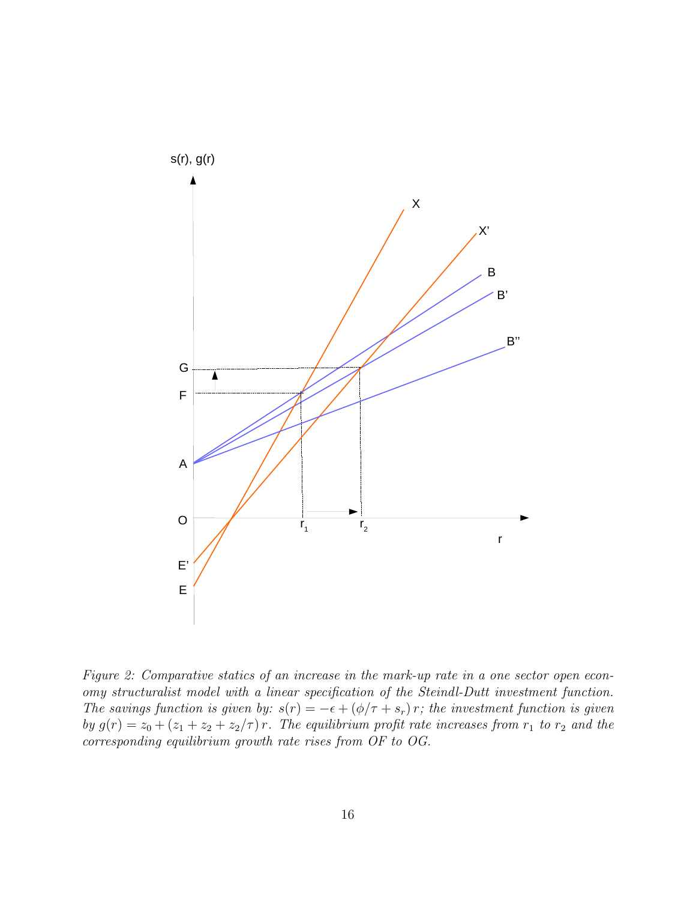

Figure 2: Comparative statics of an increase in the mark-up rate in a one sector open economy structuralist model with a linear specification of the Steindl-Dutt investment function. The savings function is given by:  $s(r) = -\epsilon + (\phi/\tau + s_r)r$ ; the investment function is given by  $g(r) = z_0 + (z_1 + z_2 + z_2/\tau) r$ . The equilibrium profit rate increases from  $r_1$  to  $r_2$  and the corresponding equilibrium growth rate rises from OF to OG.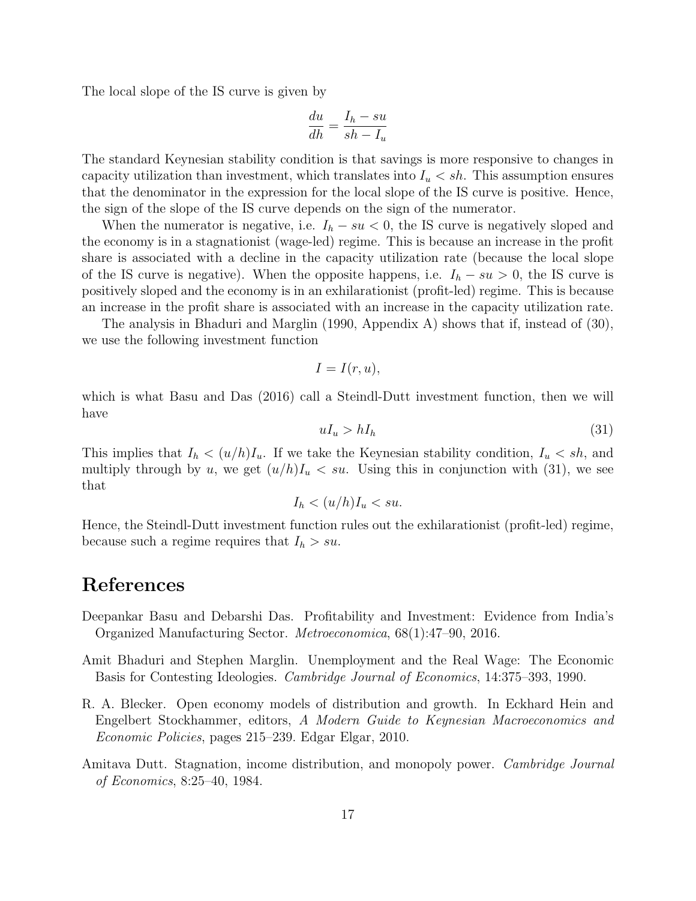The local slope of the IS curve is given by

$$
\frac{du}{dh} = \frac{I_h - su}{sh - I_u}
$$

The standard Keynesian stability condition is that savings is more responsive to changes in capacity utilization than investment, which translates into  $I_u < sh$ . This assumption ensures that the denominator in the expression for the local slope of the IS curve is positive. Hence, the sign of the slope of the IS curve depends on the sign of the numerator.

When the numerator is negative, i.e.  $I_h - su < 0$ , the IS curve is negatively sloped and the economy is in a stagnationist (wage-led) regime. This is because an increase in the profit share is associated with a decline in the capacity utilization rate (because the local slope of the IS curve is negative). When the opposite happens, i.e.  $I_h - su > 0$ , the IS curve is positively sloped and the economy is in an exhilarationist (profit-led) regime. This is because an increase in the profit share is associated with an increase in the capacity utilization rate.

The analysis in Bhaduri and Marglin (1990, Appendix A) shows that if, instead of (30), we use the following investment function

$$
I = I(r, u),
$$

which is what Basu and Das (2016) call a Steindl-Dutt investment function, then we will have

$$
uI_u > hI_h \tag{31}
$$

This implies that  $I_h < (u/h)I_u$ . If we take the Keynesian stability condition,  $I_u < sh$ , and multiply through by u, we get  $(u/h)I_u \leq su$ . Using this in conjunction with (31), we see that

$$
I_h < (u/h)I_u < su.
$$

Hence, the Steindl-Dutt investment function rules out the exhilarationist (profit-led) regime, because such a regime requires that  $I_h > su$ .

## References

- Deepankar Basu and Debarshi Das. Profitability and Investment: Evidence from India's Organized Manufacturing Sector. Metroeconomica, 68(1):47–90, 2016.
- Amit Bhaduri and Stephen Marglin. Unemployment and the Real Wage: The Economic Basis for Contesting Ideologies. Cambridge Journal of Economics, 14:375–393, 1990.
- R. A. Blecker. Open economy models of distribution and growth. In Eckhard Hein and Engelbert Stockhammer, editors, A Modern Guide to Keynesian Macroeconomics and Economic Policies, pages 215–239. Edgar Elgar, 2010.
- Amitava Dutt. Stagnation, income distribution, and monopoly power. Cambridge Journal of Economics, 8:25–40, 1984.